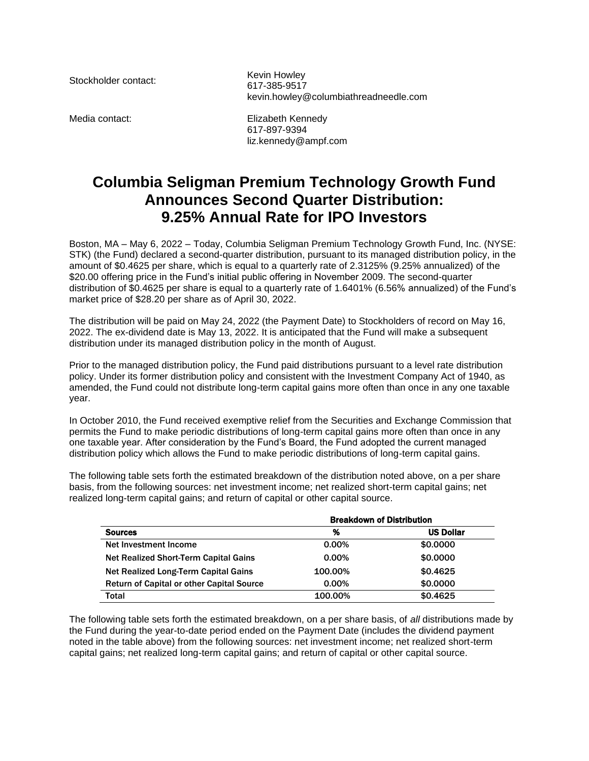Stockholder contact:<br>
Stockholder contact: 617-385-9517 kevin.howley@columbiathreadneedle.com

Media contact: Elizabeth Kennedy 617-897-9394 liz.kennedy@ampf.com

## **Columbia Seligman Premium Technology Growth Fund Announces Second Quarter Distribution: 9.25% Annual Rate for IPO Investors**

Boston, MA – May 6, 2022 – Today, Columbia Seligman Premium Technology Growth Fund, Inc. (NYSE: STK) (the Fund) declared a second-quarter distribution, pursuant to its managed distribution policy, in the amount of \$0.4625 per share, which is equal to a quarterly rate of 2.3125% (9.25% annualized) of the \$20.00 offering price in the Fund's initial public offering in November 2009. The second-quarter distribution of \$0.4625 per share is equal to a quarterly rate of 1.6401% (6.56% annualized) of the Fund's market price of \$28.20 per share as of April 30, 2022.

The distribution will be paid on May 24, 2022 (the Payment Date) to Stockholders of record on May 16, 2022. The ex-dividend date is May 13, 2022. It is anticipated that the Fund will make a subsequent distribution under its managed distribution policy in the month of August.

Prior to the managed distribution policy, the Fund paid distributions pursuant to a level rate distribution policy. Under its former distribution policy and consistent with the Investment Company Act of 1940, as amended, the Fund could not distribute long-term capital gains more often than once in any one taxable year.

In October 2010, the Fund received exemptive relief from the Securities and Exchange Commission that permits the Fund to make periodic distributions of long-term capital gains more often than once in any one taxable year. After consideration by the Fund's Board, the Fund adopted the current managed distribution policy which allows the Fund to make periodic distributions of long-term capital gains.

The following table sets forth the estimated breakdown of the distribution noted above, on a per share basis, from the following sources: net investment income; net realized short-term capital gains; net realized long-term capital gains; and return of capital or other capital source.

|                                                  | <b>Breakdown of Distribution</b> |                  |
|--------------------------------------------------|----------------------------------|------------------|
| <b>Sources</b>                                   | %                                | <b>US Dollar</b> |
| Net Investment Income                            | $0.00\%$                         | \$0,0000         |
| Net Realized Short-Term Capital Gains            | $0.00\%$                         | \$0,0000         |
| Net Realized Long-Term Capital Gains             | 100.00%                          | \$0.4625         |
| <b>Return of Capital or other Capital Source</b> | 0.00%                            | \$0,0000         |
| Total                                            | 100.00%                          | \$0.4625         |

The following table sets forth the estimated breakdown, on a per share basis, of *all* distributions made by the Fund during the year-to-date period ended on the Payment Date (includes the dividend payment noted in the table above) from the following sources: net investment income; net realized short-term capital gains; net realized long-term capital gains; and return of capital or other capital source.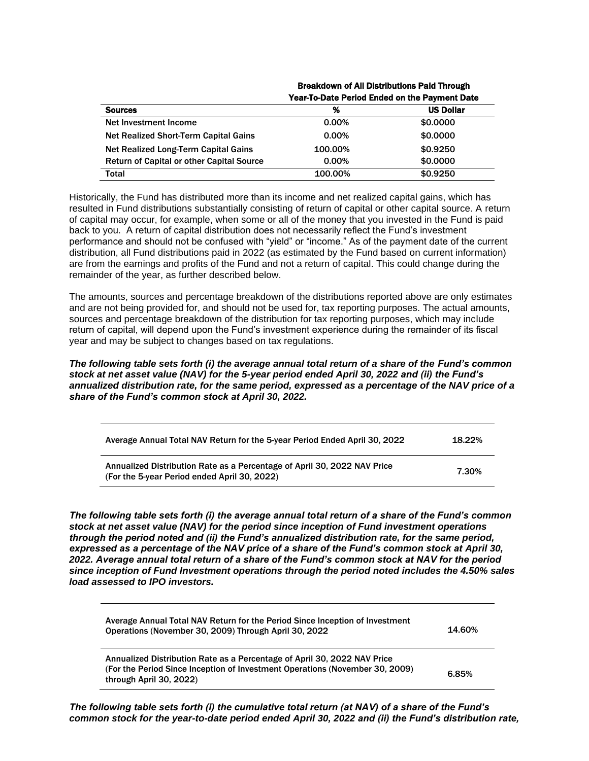|                                                  | <b>Breakdown of All Distributions Paid Through</b>   |                  |  |
|--------------------------------------------------|------------------------------------------------------|------------------|--|
|                                                  | <b>Year-To-Date Period Ended on the Payment Date</b> |                  |  |
| <b>Sources</b>                                   | %                                                    | <b>US Dollar</b> |  |
| Net Investment Income                            | $0.00\%$                                             | \$0.0000         |  |
| Net Realized Short-Term Capital Gains            | $0.00\%$                                             | \$0.0000         |  |
| Net Realized Long-Term Capital Gains             | 100.00%                                              | \$0.9250         |  |
| <b>Return of Capital or other Capital Source</b> | $0.00\%$                                             | \$0,0000         |  |
| Total                                            | 100.00%                                              | \$0.9250         |  |

Historically, the Fund has distributed more than its income and net realized capital gains, which has resulted in Fund distributions substantially consisting of return of capital or other capital source. A return of capital may occur, for example, when some or all of the money that you invested in the Fund is paid back to you. A return of capital distribution does not necessarily reflect the Fund's investment performance and should not be confused with "yield" or "income." As of the payment date of the current distribution, all Fund distributions paid in 2022 (as estimated by the Fund based on current information) are from the earnings and profits of the Fund and not a return of capital. This could change during the remainder of the year, as further described below.

The amounts, sources and percentage breakdown of the distributions reported above are only estimates and are not being provided for, and should not be used for, tax reporting purposes. The actual amounts, sources and percentage breakdown of the distribution for tax reporting purposes, which may include return of capital, will depend upon the Fund's investment experience during the remainder of its fiscal year and may be subject to changes based on tax regulations.

*The following table sets forth (i) the average annual total return of a share of the Fund's common stock at net asset value (NAV) for the 5-year period ended April 30, 2022 and (ii) the Fund's annualized distribution rate, for the same period, expressed as a percentage of the NAV price of a share of the Fund's common stock at April 30, 2022.* 

| Average Annual Total NAV Return for the 5-year Period Ended April 30, 2022                                               | 18.22% |
|--------------------------------------------------------------------------------------------------------------------------|--------|
| Annualized Distribution Rate as a Percentage of April 30, 2022 NAV Price<br>(For the 5-year Period ended April 30, 2022) | 7.30%  |

*The following table sets forth (i) the average annual total return of a share of the Fund's common stock at net asset value (NAV) for the period since inception of Fund investment operations through the period noted and (ii) the Fund's annualized distribution rate, for the same period, expressed as a percentage of the NAV price of a share of the Fund's common stock at April 30, 2022. Average annual total return of a share of the Fund's common stock at NAV for the period since inception of Fund Investment operations through the period noted includes the 4.50% sales load assessed to IPO investors.*

| Average Annual Total NAV Return for the Period Since Inception of Investment<br>Operations (November 30, 2009) Through April 30, 2022                                               | 14.60% |
|-------------------------------------------------------------------------------------------------------------------------------------------------------------------------------------|--------|
| Annualized Distribution Rate as a Percentage of April 30, 2022 NAV Price<br>(For the Period Since Inception of Investment Operations (November 30, 2009)<br>through April 30, 2022) | 6.85%  |

*The following table sets forth (i) the cumulative total return (at NAV) of a share of the Fund's common stock for the year-to-date period ended April 30, 2022 and (ii) the Fund's distribution rate,*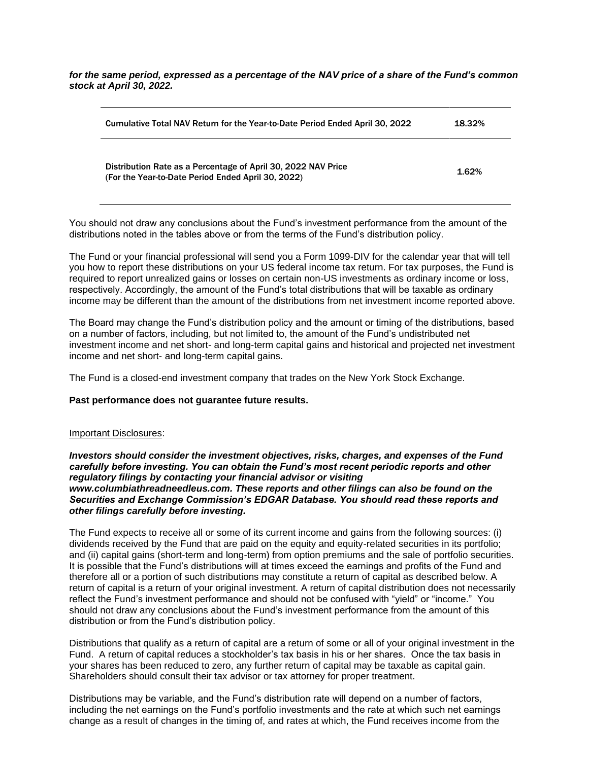*for the same period, expressed as a percentage of the NAV price of a share of the Fund's common stock at April 30, 2022.*

| Cumulative Total NAV Return for the Year-to-Date Period Ended April 30, 2022                                        | 18.32% |
|---------------------------------------------------------------------------------------------------------------------|--------|
| Distribution Rate as a Percentage of April 30, 2022 NAV Price<br>(For the Year-to-Date Period Ended April 30, 2022) | 1.62%  |

You should not draw any conclusions about the Fund's investment performance from the amount of the distributions noted in the tables above or from the terms of the Fund's distribution policy.

The Fund or your financial professional will send you a Form 1099-DIV for the calendar year that will tell you how to report these distributions on your US federal income tax return. For tax purposes, the Fund is required to report unrealized gains or losses on certain non-US investments as ordinary income or loss, respectively. Accordingly, the amount of the Fund's total distributions that will be taxable as ordinary income may be different than the amount of the distributions from net investment income reported above.

The Board may change the Fund's distribution policy and the amount or timing of the distributions, based on a number of factors, including, but not limited to, the amount of the Fund's undistributed net investment income and net short- and long-term capital gains and historical and projected net investment income and net short- and long-term capital gains.

The Fund is a closed-end investment company that trades on the New York Stock Exchange.

## **Past performance does not guarantee future results.**

## Important Disclosures:

*Investors should consider the investment objectives, risks, charges, and expenses of the Fund carefully before investing. You can obtain the Fund's most recent periodic reports and other regulatory filings by contacting your financial advisor or visiting www.columbiathreadneedleus.com. These reports and other filings can also be found on the Securities and Exchange Commission's EDGAR Database. You should read these reports and other filings carefully before investing.*

The Fund expects to receive all or some of its current income and gains from the following sources: (i) dividends received by the Fund that are paid on the equity and equity-related securities in its portfolio; and (ii) capital gains (short-term and long-term) from option premiums and the sale of portfolio securities. It is possible that the Fund's distributions will at times exceed the earnings and profits of the Fund and therefore all or a portion of such distributions may constitute a return of capital as described below. A return of capital is a return of your original investment. A return of capital distribution does not necessarily reflect the Fund's investment performance and should not be confused with "yield" or "income." You should not draw any conclusions about the Fund's investment performance from the amount of this distribution or from the Fund's distribution policy.

Distributions that qualify as a return of capital are a return of some or all of your original investment in the Fund. A return of capital reduces a stockholder's tax basis in his or her shares. Once the tax basis in your shares has been reduced to zero, any further return of capital may be taxable as capital gain. Shareholders should consult their tax advisor or tax attorney for proper treatment.

Distributions may be variable, and the Fund's distribution rate will depend on a number of factors, including the net earnings on the Fund's portfolio investments and the rate at which such net earnings change as a result of changes in the timing of, and rates at which, the Fund receives income from the